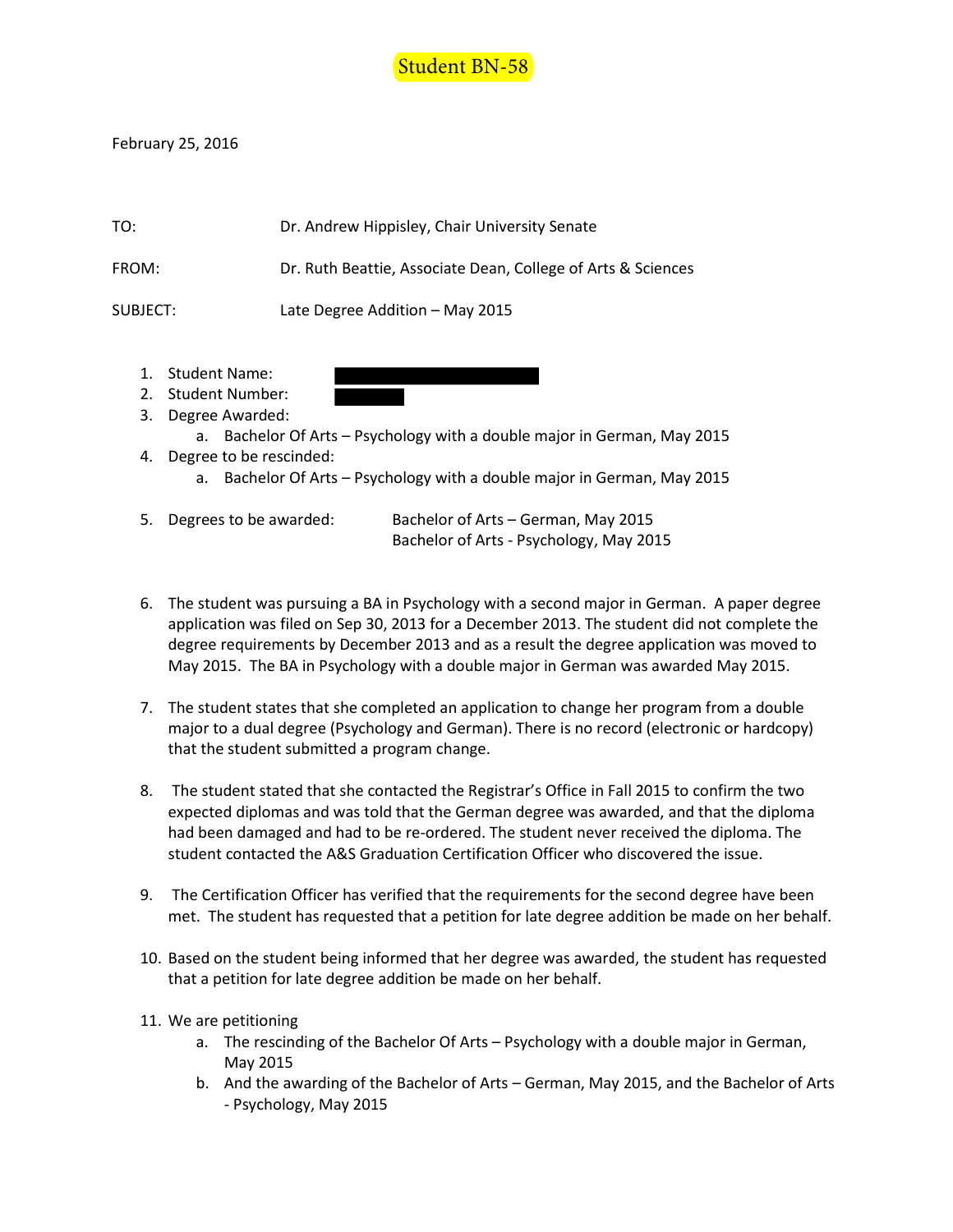

February 25, 2016

| TO:      | Dr. Andrew Hippisley, Chair University Senate                |
|----------|--------------------------------------------------------------|
| FROM:    | Dr. Ruth Beattie, Associate Dean, College of Arts & Sciences |
| SUBJECT: | Late Degree Addition – May 2015                              |

- 1. Student Name:
- 2. Student Number:
- 3. Degree Awarded:
	- a. Bachelor Of Arts Psychology with a double major in German, May 2015
- 4. Degree to be rescinded:
	- a. Bachelor Of Arts Psychology with a double major in German, May 2015

| 5. Degrees to be awarded: | Bachelor of Arts – German, May 2015     |
|---------------------------|-----------------------------------------|
|                           | Bachelor of Arts - Psychology, May 2015 |

- 6. The student was pursuing a BA in Psychology with a second major in German. A paper degree application was filed on Sep 30, 2013 for a December 2013. The student did not complete the degree requirements by December 2013 and as a result the degree application was moved to May 2015. The BA in Psychology with a double major in German was awarded May 2015.
- 7. The student states that she completed an application to change her program from a double major to a dual degree (Psychology and German). There is no record (electronic or hardcopy) that the student submitted a program change.
- 8. The student stated that she contacted the Registrar's Office in Fall 2015 to confirm the two expected diplomas and was told that the German degree was awarded, and that the diploma had been damaged and had to be re-ordered. The student never received the diploma. The student contacted the A&S Graduation Certification Officer who discovered the issue.
- 9. The Certification Officer has verified that the requirements for the second degree have been met. The student has requested that a petition for late degree addition be made on her behalf.
- 10. Based on the student being informed that her degree was awarded, the student has requested that a petition for late degree addition be made on her behalf.
- 11. We are petitioning
	- a. The rescinding of the Bachelor Of Arts Psychology with a double major in German, May 2015
	- b. And the awarding of the Bachelor of Arts German, May 2015, and the Bachelor of Arts - Psychology, May 2015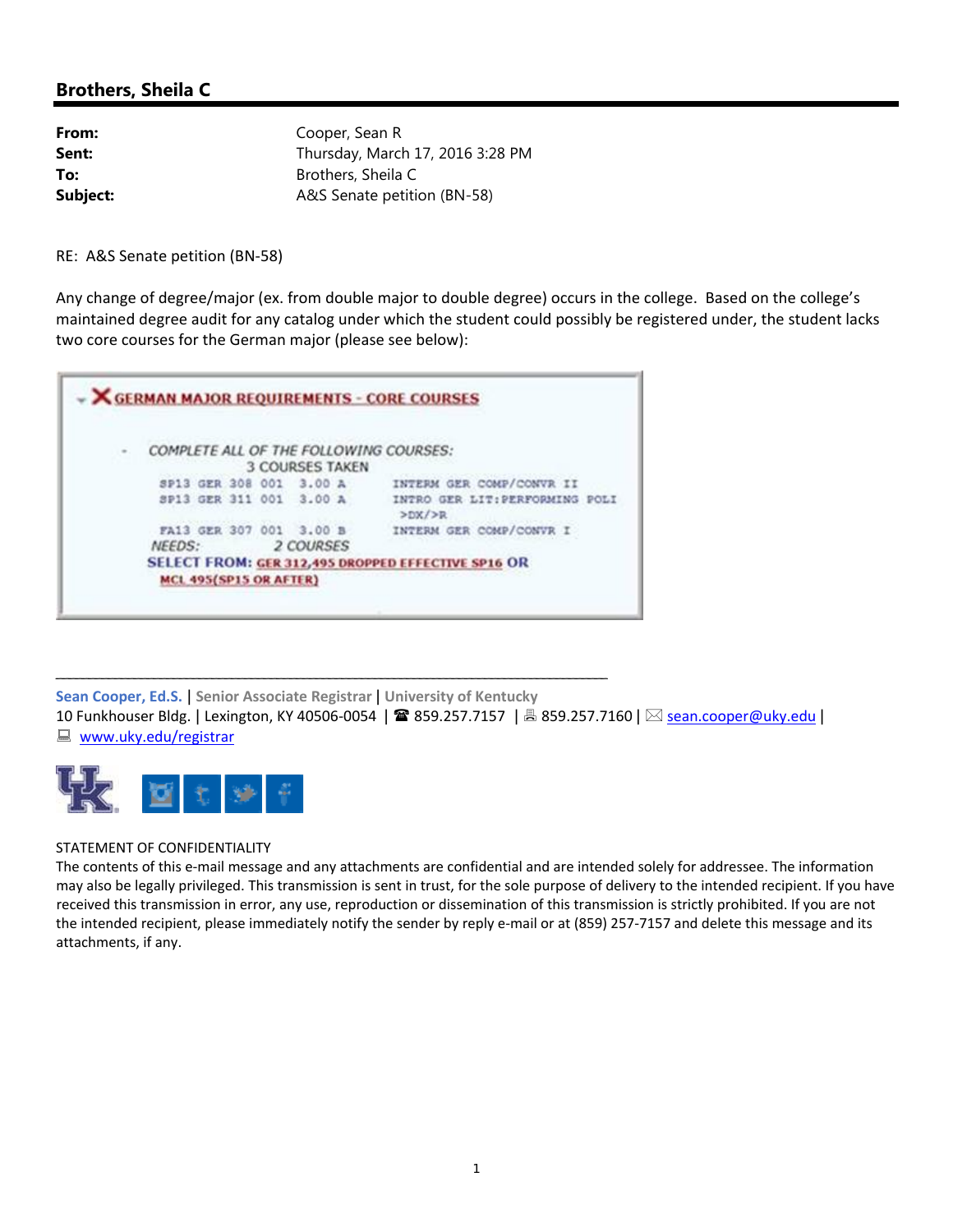# **Brothers, Sheila C**

| From:    | Cooper, Sean R                   |
|----------|----------------------------------|
| Sent:    | Thursday, March 17, 2016 3:28 PM |
| To:      | Brothers, Sheila C               |
| Subject: | A&S Senate petition (BN-58)      |

RE: A&S Senate petition (BN‐58)

Any change of degree/major (ex. from double major to double degree) occurs in the college. Based on the college's maintained degree audit for any catalog under which the student could possibly be registered under, the student lacks two core courses for the German major (please see below):



\_\_\_\_\_\_\_\_\_\_\_\_\_\_\_\_\_\_\_\_\_\_\_\_\_\_\_\_\_\_\_\_\_\_\_\_\_\_\_\_\_\_\_\_\_\_\_\_\_\_\_\_\_\_\_\_\_\_\_\_\_\_\_\_\_\_\_\_\_\_\_\_\_\_\_\_\_\_\_\_\_\_\_\_\_

**Sean Cooper, Ed.S.** | **Senior Associate Registrar** | **University of Kentucky** 10 Funkhouser Bldg. | Lexington, KY 40506-0054 | ☎ 859.257.7157 | 禹 859.257.7160 | ⊠ sean.cooper@uky.edu | ■ www.uky.edu/registrar



### STATEMENT OF CONFIDENTIALITY

The contents of this e-mail message and any attachments are confidential and are intended solely for addressee. The information may also be legally privileged. This transmission is sent in trust, for the sole purpose of delivery to the intended recipient. If you have received this transmission in error, any use, reproduction or dissemination of this transmission is strictly prohibited. If you are not the intended recipient, please immediately notify the sender by reply e-mail or at (859) 257-7157 and delete this message and its attachments, if any.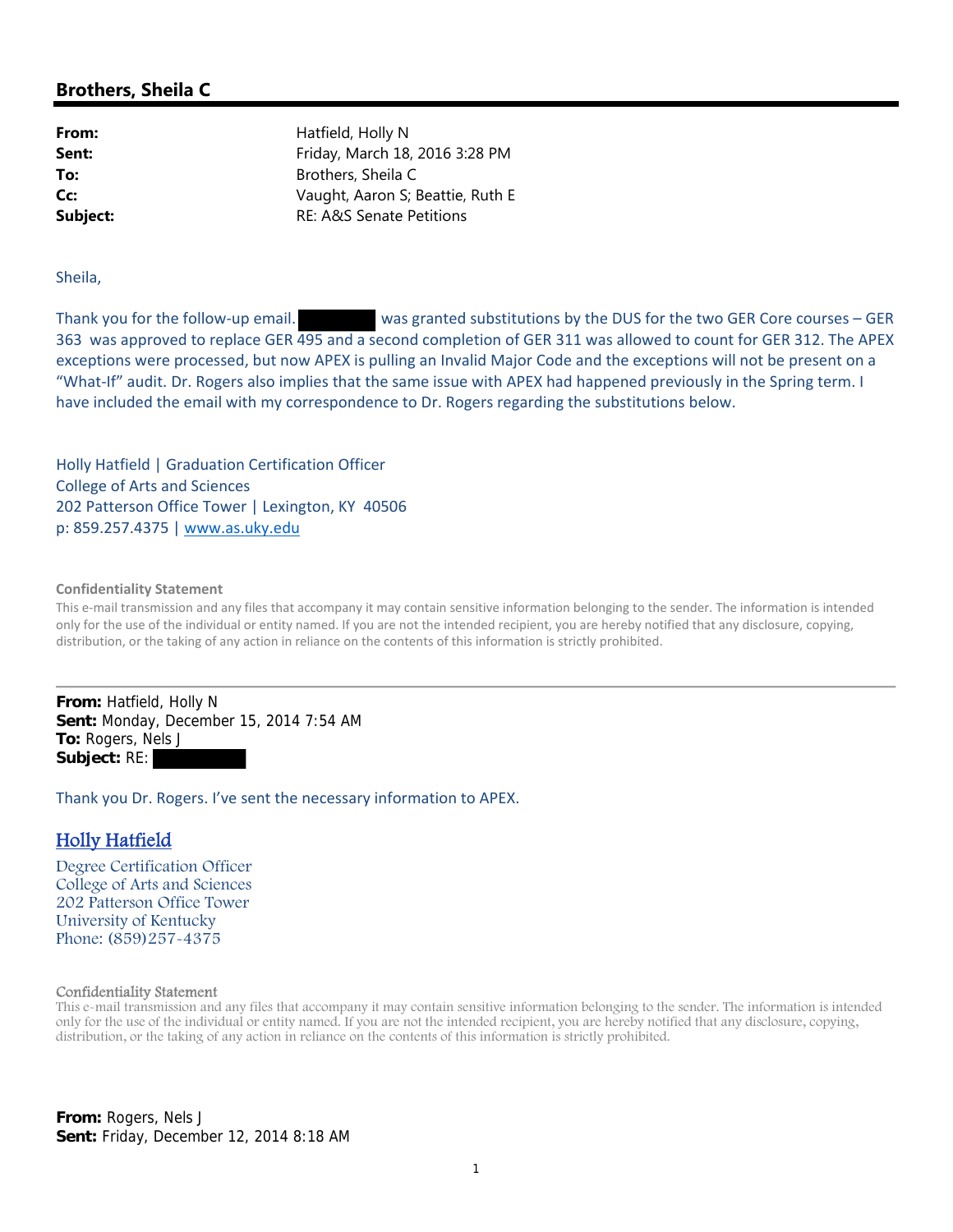## **Brothers, Sheila C**

**From:** Hatfield, Holly N **Sent:** Friday, March 18, 2016 3:28 PM **To:** Brothers, Sheila C **Cc:** Vaught, Aaron S; Beattie, Ruth E **Subject:** RE: A&S Senate Petitions

Sheila,

Thank you for the follow-up email. *was granted substitutions by the DUS for the two GER Core courses – GER* 363 was approved to replace GER 495 and a second completion of GER 311 was allowed to count for GER 312. The APEX exceptions were processed, but now APEX is pulling an Invalid Major Code and the exceptions will not be present on a "What‐If" audit. Dr. Rogers also implies that the same issue with APEX had happened previously in the Spring term. I have included the email with my correspondence to Dr. Rogers regarding the substitutions below.

Holly Hatfield | Graduation Certification Officer College of Arts and Sciences 202 Patterson Office Tower | Lexington, KY 40506 p: 859.257.4375 | www.as.uky.edu

#### **Confidentiality Statement**

This e-mail transmission and any files that accompany it may contain sensitive information belonging to the sender. The information is intended only for the use of the individual or entity named. If you are not the intended recipient, you are hereby notified that any disclosure, copying, distribution, or the taking of any action in reliance on the contents of this information is strictly prohibited.

**From:** Hatfield, Holly N **Sent:** Monday, December 15, 2014 7:54 AM **To:** Rogers, Nels J **Subject:** RE:

Thank you Dr. Rogers. I've sent the necessary information to APEX.

### Holly Hatfield

Degree Certification Officer College of Arts and Sciences 202 Patterson Office Tower University of Kentucky Phone: (859)257-4375

#### Confidentiality Statement

This e-mail transmission and any files that accompany it may contain sensitive information belonging to the sender. The information is intended only for the use of the individual or entity named. If you are not the intended recipient, you are hereby notified that any disclosure, copying, distribution, or the taking of any action in reliance on the contents of this information is strictly prohibited.

**From:** Rogers, Nels J **Sent:** Friday, December 12, 2014 8:18 AM